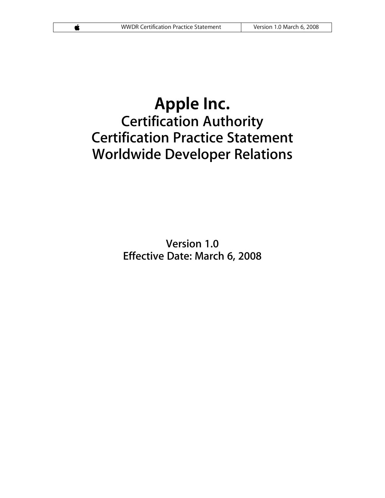# **Apple Inc. Certification Authority Certification Practice Statement Worldwide Developer Relations**

**Version 1.0 Effective Date: March 6, 2008**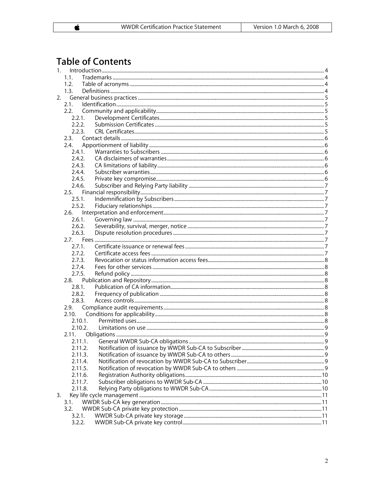# **Table of Contents**

 $\overline{\bullet}$ 

| 1. |         |  |  |  |  |  |
|----|---------|--|--|--|--|--|
|    | 1.1.    |  |  |  |  |  |
|    | 1.2.    |  |  |  |  |  |
|    | 1.3.    |  |  |  |  |  |
|    |         |  |  |  |  |  |
|    | 2.1.    |  |  |  |  |  |
|    | 2.2.    |  |  |  |  |  |
|    | 2.2.1.  |  |  |  |  |  |
|    | 2.2.2.  |  |  |  |  |  |
|    | 2.2.3.  |  |  |  |  |  |
|    | 2.3.    |  |  |  |  |  |
|    | 2.4.    |  |  |  |  |  |
|    | 2.4.1.  |  |  |  |  |  |
|    | 2.4.2.  |  |  |  |  |  |
|    |         |  |  |  |  |  |
|    | 2.4.3.  |  |  |  |  |  |
|    | 2.4.4.  |  |  |  |  |  |
|    | 2.4.5.  |  |  |  |  |  |
|    | 2.4.6.  |  |  |  |  |  |
|    |         |  |  |  |  |  |
|    | 2.5.1.  |  |  |  |  |  |
|    | 2.5.2.  |  |  |  |  |  |
|    | 2.6.    |  |  |  |  |  |
|    | 2.6.1.  |  |  |  |  |  |
|    | 2.6.2.  |  |  |  |  |  |
|    | 2.6.3.  |  |  |  |  |  |
|    |         |  |  |  |  |  |
|    | 2.7.1.  |  |  |  |  |  |
|    | 2.7.2.  |  |  |  |  |  |
|    | 2.7.3.  |  |  |  |  |  |
|    | 2.7.4.  |  |  |  |  |  |
|    | 2.7.5.  |  |  |  |  |  |
|    |         |  |  |  |  |  |
|    | 2.8.1.  |  |  |  |  |  |
|    |         |  |  |  |  |  |
|    | 2.8.2.  |  |  |  |  |  |
|    | 2.8.3.  |  |  |  |  |  |
|    | 2.9.    |  |  |  |  |  |
|    | 2.10.   |  |  |  |  |  |
|    | 2.10.1. |  |  |  |  |  |
|    | 2.10.2. |  |  |  |  |  |
|    | 2.11.   |  |  |  |  |  |
|    | 2.11.1. |  |  |  |  |  |
|    | 2.11.2. |  |  |  |  |  |
|    | 2.11.3. |  |  |  |  |  |
|    | 2.11.4. |  |  |  |  |  |
|    | 2.11.5. |  |  |  |  |  |
|    | 2.11.6. |  |  |  |  |  |
|    | 2.11.7. |  |  |  |  |  |
|    | 2.11.8. |  |  |  |  |  |
| 3. |         |  |  |  |  |  |
|    | 3.1.    |  |  |  |  |  |
|    | 3.2.    |  |  |  |  |  |
|    | 3.2.1.  |  |  |  |  |  |
|    | 3.2.2.  |  |  |  |  |  |
|    |         |  |  |  |  |  |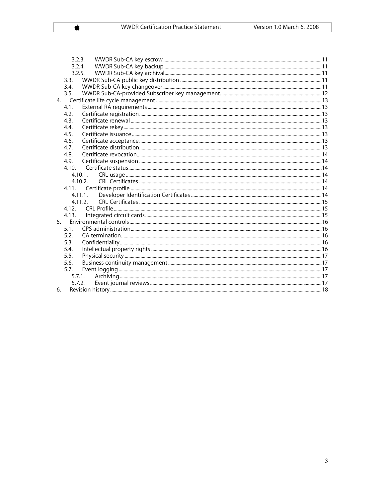$\pmb{\dot{}}$ 

|                | 3.2.3. |            |  |
|----------------|--------|------------|--|
|                | 3.2.4. |            |  |
|                |        | 3.2.5.     |  |
|                | 3.3.   |            |  |
|                | 3.4.   |            |  |
|                | 3.5.   |            |  |
|                |        |            |  |
|                | 4.1.   |            |  |
|                | 4.2.   |            |  |
|                | 4.3.   |            |  |
|                | 4.4.   |            |  |
|                | 4.5.   |            |  |
|                | 4.6.   |            |  |
|                | 4.7.   |            |  |
|                | 4.8.   |            |  |
|                | 4.9.   |            |  |
|                | 4.10.  |            |  |
|                |        | $4.10.1$ . |  |
|                |        | 4.10.2.    |  |
|                |        |            |  |
|                |        | 4.11.1.    |  |
|                |        | 4.11.2.    |  |
|                |        |            |  |
|                | 4.13.  |            |  |
| 5 <sup>7</sup> |        |            |  |
|                | 5.1.   |            |  |
|                | 5.2.   |            |  |
|                | 5.3.   |            |  |
|                | 5.4.   |            |  |
|                | 5.5.   |            |  |
|                | 5.6.   |            |  |
|                | 5.7.   |            |  |
|                |        | 5.7.1.     |  |
|                | 5.7.2. |            |  |
| 6.             |        |            |  |

 $\overline{3}$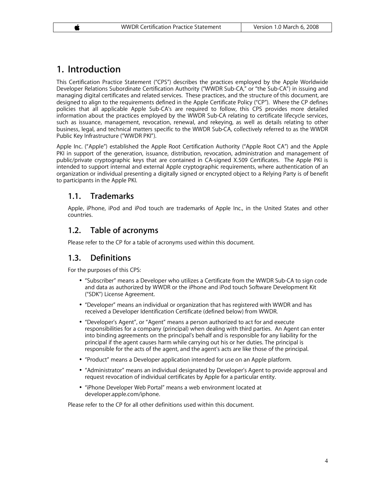# **1. Introduction**

This Certification Practice Statement ("CPS") describes the practices employed by the Apple Worldwide Developer Relations Subordinate Certification Authority ("WWDR Sub-CA," or "the Sub-CA") in issuing and managing digital certificates and related services. These practices, and the structure of this document, are designed to align to the requirements defined in the Apple Certificate Policy ("CP"). Where the CP defines policies that all applicable Apple Sub-CA's are required to follow, this CPS provides more detailed information about the practices employed by the WWDR Sub-CA relating to certificate lifecycle services, such as issuance, management, revocation, renewal, and rekeying, as well as details relating to other business, legal, and technical matters specific to the WWDR Sub-CA, collectively referred to as the WWDR Public Key Infrastructure ("WWDR PKI").

Apple Inc. ("Apple") established the Apple Root Certification Authority ("Apple Root CA") and the Apple PKI in support of the generation, issuance, distribution, revocation, administration and management of public/private cryptographic keys that are contained in CA-signed X.509 Certificates. The Apple PKI is intended to support internal and external Apple cryptographic requirements, where authentication of an organization or individual presenting a digitally signed or encrypted object to a Relying Party is of benefit to participants in the Apple PKI.

# **1.1. Trademarks**

Apple, iPhone, iPod and iPod touch are trademarks of Apple Inc., in the United States and other countries.

# **1.2. Table of acronyms**

Please refer to the CP for a table of acronyms used within this document.

# **1.3. Definitions**

For the purposes of this CPS:

- "Subscriber" means a Developer who utilizes a Certificate from the WWDR Sub-CA to sign code and data as authorized by WWDR or the iPhone and iPod touch Software Development Kit ("SDK") License Agreement.
- "Developer" means an individual or organization that has registered with WWDR and has received a Developer Identification Certificate (defined below) from WWDR.
- "Developer's Agent", or "Agent" means a person authorized to act for and execute responsibilities for a company (principal) when dealing with third parties. An Agent can enter into binding agreements on the principal's behalf and is responsible for any liability for the principal if the agent causes harm while carrying out his or her duties. The principal is responsible for the acts of the agent, and the agent's acts are like those of the principal.
- "Product" means a Developer application intended for use on an Apple platform.
- "Administrator" means an individual designated by Developer's Agent to provide approval and request revocation of individual certificates by Apple for a particular entity.
- "iPhone Developer Web Portal" means a web environment located at developer.apple.com/iphone.

Please refer to the CP for all other definitions used within this document.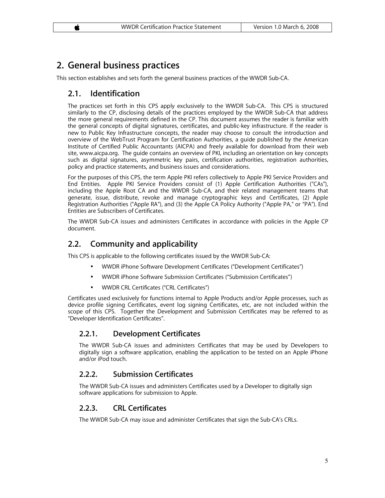# **2. General business practices**

This section establishes and sets forth the general business practices of the WWDR Sub-CA.

# **2.1. Identification**

The practices set forth in this CPS apply exclusively to the WWDR Sub-CA. This CPS is structured similarly to the CP, disclosing details of the practices employed by the WWDR Sub-CA that address the more general requirements defined in the CP. This document assumes the reader is familiar with the general concepts of digital signatures, certificates, and public-key infrastructure. If the reader is new to Public Key Infrastructure concepts, the reader may choose to consult the introduction and overview of the WebTrust Program for Certification Authorities, a guide published by the American Institute of Certified Public Accountants (AICPA) and freely available for download from their web site, www.aicpa.org. The guide contains an overview of PKI, including an orientation on key concepts such as digital signatures, asymmetric key pairs, certification authorities, registration authorities, policy and practice statements, and business issues and considerations.

For the purposes of this CPS, the term Apple PKI refers collectively to Apple PKI Service Providers and End Entities. Apple PKI Service Providers consist of (1) Apple Certification Authorities ("CAs"), including the Apple Root CA and the WWDR Sub-CA, and their related management teams that generate, issue, distribute, revoke and manage cryptographic keys and Certificates, (2) Apple Registration Authorities ("Apple RA"), and (3) the Apple CA Policy Authority ("Apple PA," or "PA"). End Entities are Subscribers of Certificates.

The WWDR Sub-CA issues and administers Certificates in accordance with policies in the Apple CP document.

# **2.2. Community and applicability**

This CPS is applicable to the following certificates issued by the WWDR Sub-CA:

- WWDR iPhone Software Development Certificates ("Development Certificates")
- WWDR iPhone Software Submission Certificates ("Submission Certificates")
- WWDR CRL Certificates ("CRL Certificates")

Certificates used exclusively for functions internal to Apple Products and/or Apple processes, such as device profile signing Certificates, event log signing Certificates, etc, are not included within the scope of this CPS. Together the Development and Submission Certificates may be referred to as "Developer Identification Certificates".

#### **2.2.1. Development Certificates**

The WWDR Sub-CA issues and administers Certificates that may be used by Developers to digitally sign a software application, enabling the application to be tested on an Apple iPhone and/or iPod touch.

#### **2.2.2. Submission Certificates**

The WWDR Sub-CA issues and administers Certificates used by a Developer to digitally sign software applications for submission to Apple.

#### **2.2.3. CRL Certificates**

The WWDR Sub-CA may issue and administer Certificates that sign the Sub-CA's CRLs.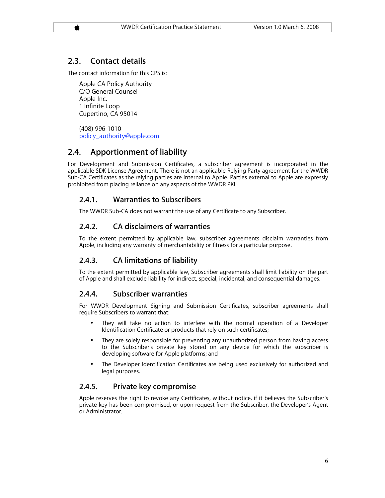# **2.3. Contact details**

The contact information for this CPS is:

Apple CA Policy Authority C/O General Counsel Apple Inc. 1 Infinite Loop Cupertino, CA 95014

(408) 996-1010 policy\_authority@apple.com

# **2.4. Apportionment of liability**

For Development and Submission Certificates, a subscriber agreement is incorporated in the applicable SDK License Agreement. There is not an applicable Relying Party agreement for the WWDR Sub-CA Certificates as the relying parties are internal to Apple. Parties external to Apple are expressly prohibited from placing reliance on any aspects of the WWDR PKI.

# **2.4.1. Warranties to Subscribers**

The WWDR Sub-CA does not warrant the use of any Certificate to any Subscriber.

# **2.4.2. CA disclaimers of warranties**

To the extent permitted by applicable law, subscriber agreements disclaim warranties from Apple, including any warranty of merchantability or fitness for a particular purpose.

# **2.4.3. CA limitations of liability**

To the extent permitted by applicable law, Subscriber agreements shall limit liability on the part of Apple and shall exclude liability for indirect, special, incidental, and consequential damages.

# **2.4.4. Subscriber warranties**

For WWDR Development Signing and Submission Certificates, subscriber agreements shall require Subscribers to warrant that:

- They will take no action to interfere with the normal operation of a Developer Identification Certificate or products that rely on such certificates;
- They are solely responsible for preventing any unauthorized person from having access to the Subscriber's private key stored on any device for which the subscriber is developing software for Apple platforms; and
- The Developer Identification Certificates are being used exclusively for authorized and legal purposes.

# **2.4.5. Private key compromise**

Apple reserves the right to revoke any Certificates, without notice, if it believes the Subscriber's private key has been compromised, or upon request from the Subscriber, the Developer's Agent or Administrator.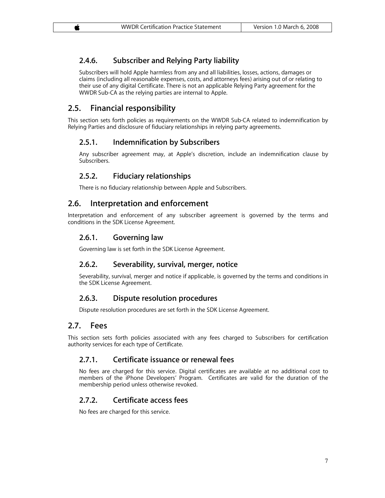### **2.4.6. Subscriber and Relying Party liability**

Subscribers will hold Apple harmless from any and all liabilities, losses, actions, damages or claims (including all reasonable expenses, costs, and attorneys fees) arising out of or relating to their use of any digital Certificate. There is not an applicable Relying Party agreement for the WWDR Sub-CA as the relying parties are internal to Apple.

#### **2.5. Financial responsibility**

This section sets forth policies as requirements on the WWDR Sub-CA related to indemnification by Relying Parties and disclosure of fiduciary relationships in relying party agreements.

#### **2.5.1. Indemnification by Subscribers**

Any subscriber agreement may, at Apple's discretion, include an indemnification clause by Subscribers.

#### **2.5.2. Fiduciary relationships**

There is no fiduciary relationship between Apple and Subscribers.

#### **2.6. Interpretation and enforcement**

Interpretation and enforcement of any subscriber agreement is governed by the terms and conditions in the SDK License Agreement.

#### **2.6.1. Governing law**

Governing law is set forth in the SDK License Agreement.

#### **2.6.2. Severability, survival, merger, notice**

Severability, survival, merger and notice if applicable, is governed by the terms and conditions in the SDK License Agreement.

#### **2.6.3. Dispute resolution procedures**

Dispute resolution procedures are set forth in the SDK License Agreement.

#### **2.7. Fees**

This section sets forth policies associated with any fees charged to Subscribers for certification authority services for each type of Certificate.

#### **2.7.1. Certificate issuance or renewal fees**

No fees are charged for this service. Digital certificates are available at no additional cost to members of the iPhone Developers' Program. Certificates are valid for the duration of the membership period unless otherwise revoked.

#### **2.7.2. Certificate access fees**

No fees are charged for this service.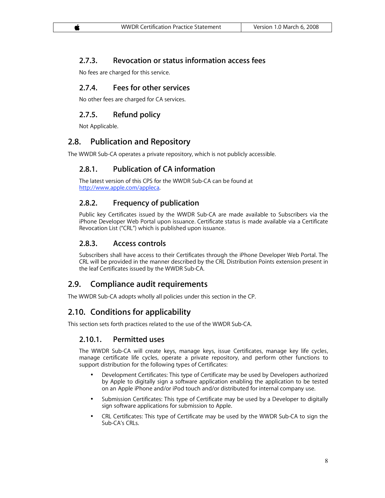### **2.7.3. Revocation or status information access fees**

No fees are charged for this service.

### **2.7.4. Fees for other services**

No other fees are charged for CA services.

# **2.7.5. Refund policy**

Not Applicable.

# **2.8. Publication and Repository**

The WWDR Sub-CA operates a private repository, which is not publicly accessible.

# **2.8.1. Publication of CA information**

The latest version of this CPS for the WWDR Sub-CA can be found at http://www.apple.com/appleca.

# **2.8.2. Frequency of publication**

Public key Certificates issued by the WWDR Sub-CA are made available to Subscribers via the iPhone Developer Web Portal upon issuance. Certificate status is made available via a Certificate Revocation List ("CRL") which is published upon issuance.

### **2.8.3. Access controls**

Subscribers shall have access to their Certificates through the iPhone Developer Web Portal. The CRL will be provided in the manner described by the CRL Distribution Points extension present in the leaf Certificates issued by the WWDR Sub-CA.

# **2.9. Compliance audit requirements**

The WWDR Sub-CA adopts wholly all policies under this section in the CP.

# **2.10. Conditions for applicability**

This section sets forth practices related to the use of the WWDR Sub-CA.

#### **2.10.1. Permitted uses**

The WWDR Sub-CA will create keys, manage keys, issue Certificates, manage key life cycles, manage certificate life cycles, operate a private repository, and perform other functions to support distribution for the following types of Certificates:

- Development Certificates: This type of Certificate may be used by Developers authorized by Apple to digitally sign a software application enabling the application to be tested on an Apple iPhone and/or iPod touch and/or distributed for internal company use.
- Submission Certificates: This type of Certificate may be used by a Developer to digitally sign software applications for submission to Apple.
- CRL Certificates: This type of Certificate may be used by the WWDR Sub-CA to sign the Sub-CA's CRLs.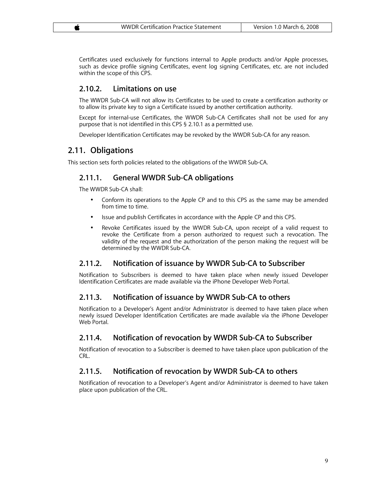Certificates used exclusively for functions internal to Apple products and/or Apple processes, such as device profile signing Certificates, event log signing Certificates, etc. are not included within the scope of this CPS.

#### **2.10.2. Limitations on use**

The WWDR Sub-CA will not allow its Certificates to be used to create a certification authority or to allow its private key to sign a Certificate issued by another certification authority.

Except for internal-use Certificates, the WWDR Sub-CA Certificates shall not be used for any purpose that is not identified in this CPS § 2.10.1 as a permitted use.

Developer Identification Certificates may be revoked by the WWDR Sub-CA for any reason.

#### **2.11. Obligations**

This section sets forth policies related to the obligations of the WWDR Sub-CA.

#### **2.11.1. General WWDR Sub-CA obligations**

The WWDR Sub-CA shall:

- Conform its operations to the Apple CP and to this CPS as the same may be amended from time to time.
- Issue and publish Certificates in accordance with the Apple CP and this CPS.
- Revoke Certificates issued by the WWDR Sub-CA, upon receipt of a valid request to revoke the Certificate from a person authorized to request such a revocation. The validity of the request and the authorization of the person making the request will be determined by the WWDR Sub-CA.

#### **2.11.2. Notification of issuance by WWDR Sub-CA to Subscriber**

Notification to Subscribers is deemed to have taken place when newly issued Developer Identification Certificates are made available via the iPhone Developer Web Portal.

#### **2.11.3. Notification of issuance by WWDR Sub-CA to others**

Notification to a Developer's Agent and/or Administrator is deemed to have taken place when newly issued Developer Identification Certificates are made available via the iPhone Developer Web Portal.

#### **2.11.4. Notification of revocation by WWDR Sub-CA to Subscriber**

Notification of revocation to a Subscriber is deemed to have taken place upon publication of the CRL.

#### **2.11.5. Notification of revocation by WWDR Sub-CA to others**

Notification of revocation to a Developer's Agent and/or Administrator is deemed to have taken place upon publication of the CRL.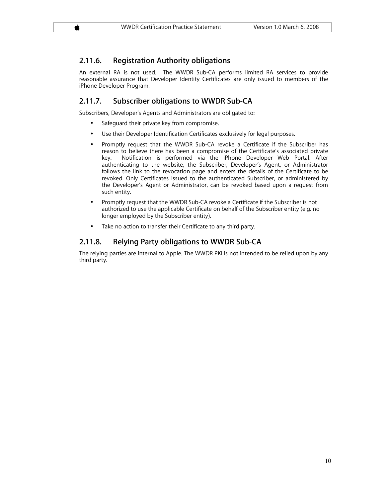#### **2.11.6. Registration Authority obligations**

An external RA is not used. The WWDR Sub-CA performs limited RA services to provide reasonable assurance that Developer Identity Certificates are only issued to members of the iPhone Developer Program.

#### **2.11.7. Subscriber obligations to WWDR Sub-CA**

Subscribers, Developer's Agents and Administrators are obligated to:

- Safeguard their private key from compromise.
- Use their Developer Identification Certificates exclusively for legal purposes.
- Promptly request that the WWDR Sub-CA revoke a Certificate if the Subscriber has reason to believe there has been a compromise of the Certificate's associated private key. Notification is performed via the iPhone Developer Web Portal. After authenticating to the website, the Subscriber, Developer's Agent, or Administrator follows the link to the revocation page and enters the details of the Certificate to be revoked. Only Certificates issued to the authenticated Subscriber, or administered by the Developer's Agent or Administrator, can be revoked based upon a request from such entity.
- Promptly request that the WWDR Sub-CA revoke a Certificate if the Subscriber is not authorized to use the applicable Certificate on behalf of the Subscriber entity (e.g. no longer employed by the Subscriber entity).
- Take no action to transfer their Certificate to any third party.

#### **2.11.8. Relying Party obligations to WWDR Sub-CA**

The relying parties are internal to Apple. The WWDR PKI is not intended to be relied upon by any third party.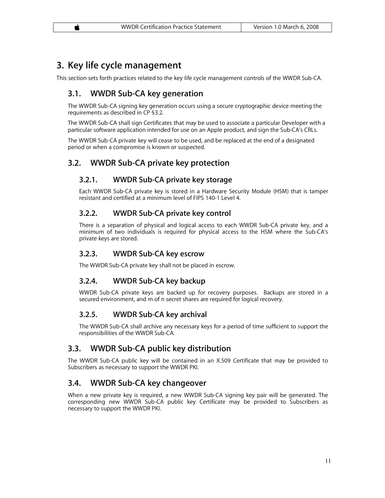# **3. Key life cycle management**

This section sets forth practices related to the key life cycle management controls of the WWDR Sub-CA.

# **3.1. WWDR Sub-CA key generation**

The WWDR Sub-CA signing key generation occurs using a secure cryptographic device meeting the requirements as described in CP §3.2.

The WWDR Sub-CA shall sign Certificates that may be used to associate a particular Developer with a particular software application intended for use on an Apple product, and sign the Sub-CA's CRLs.

The WWDR Sub-CA private key will cease to be used, and be replaced at the end of a designated period or when a compromise is known or suspected.

# **3.2. WWDR Sub-CA private key protection**

### **3.2.1. WWDR Sub-CA private key storage**

Each WWDR Sub-CA private key is stored in a Hardware Security Module (HSM) that is tamper resistant and certified at a minimum level of FIPS 140-1 Level 4.

### **3.2.2. WWDR Sub-CA private key control**

There is a separation of physical and logical access to each WWDR Sub-CA private key, and a minimum of two individuals is required for physical access to the HSM where the Sub-CA's private keys are stored.

#### **3.2.3. WWDR Sub-CA key escrow**

The WWDR Sub-CA private key shall not be placed in escrow.

#### **3.2.4. WWDR Sub-CA key backup**

WWDR Sub-CA private keys are backed up for recovery purposes. Backups are stored in a secured environment, and m of n secret shares are required for logical recovery.

#### **3.2.5. WWDR Sub-CA key archival**

The WWDR Sub-CA shall archive any necessary keys for a period of time sufficient to support the responsibilities of the WWDR Sub-CA.

# **3.3. WWDR Sub-CA public key distribution**

The WWDR Sub-CA public key will be contained in an X.509 Certificate that may be provided to Subscribers as necessary to support the WWDR PKI.

# **3.4. WWDR Sub-CA key changeover**

When a new private key is required, a new WWDR Sub-CA signing key pair will be generated. The corresponding new WWDR Sub-CA public key Certificate may be provided to Subscribers as necessary to support the WWDR PKI.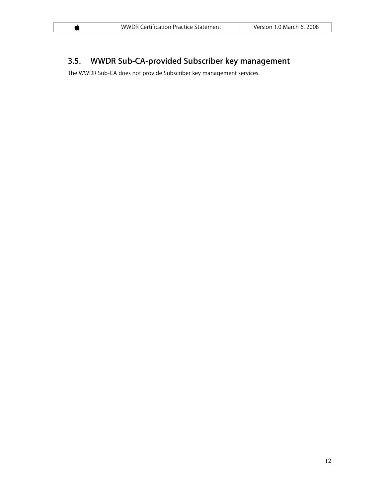# **3.5. WWDR Sub-CA-provided Subscriber key management**

The WWDR Sub-CA does not provide Subscriber key management services.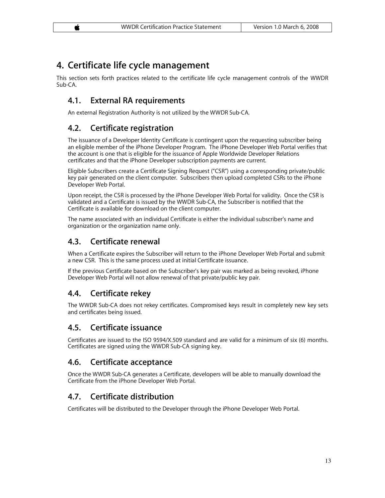# **4. Certificate life cycle management**

This section sets forth practices related to the certificate life cycle management controls of the WWDR Sub-CA.

# **4.1. External RA requirements**

An external Registration Authority is not utilized by the WWDR Sub-CA.

# **4.2. Certificate registration**

The issuance of a Developer Identity Certificate is contingent upon the requesting subscriber being an eligible member of the iPhone Developer Program. The iPhone Developer Web Portal verifies that the account is one that is eligible for the issuance of Apple Worldwide Developer Relations certificates and that the iPhone Developer subscription payments are current.

Eligible Subscribers create a Certificate Signing Request ("CSR") using a corresponding private/public key pair generated on the client computer. Subscribers then upload completed CSRs to the iPhone Developer Web Portal.

Upon receipt, the CSR is processed by the iPhone Developer Web Portal for validity. Once the CSR is validated and a Certificate is issued by the WWDR Sub-CA, the Subscriber is notified that the Certificate is available for download on the client computer.

The name associated with an individual Certificate is either the individual subscriber's name and organization or the organization name only.

# **4.3. Certificate renewal**

When a Certificate expires the Subscriber will return to the iPhone Developer Web Portal and submit a new CSR. This is the same process used at initial Certificate issuance.

If the previous Certificate based on the Subscriber's key pair was marked as being revoked, iPhone Developer Web Portal will not allow renewal of that private/public key pair.

# **4.4. Certificate rekey**

The WWDR Sub-CA does not rekey certificates. Compromised keys result in completely new key sets and certificates being issued.

# **4.5. Certificate issuance**

Certificates are issued to the ISO 9594/X.509 standard and are valid for a minimum of six (6) months. Certificates are signed using the WWDR Sub-CA signing key.

# **4.6. Certificate acceptance**

Once the WWDR Sub-CA generates a Certificate, developers will be able to manually download the Certificate from the iPhone Developer Web Portal.

# **4.7. Certificate distribution**

Certificates will be distributed to the Developer through the iPhone Developer Web Portal.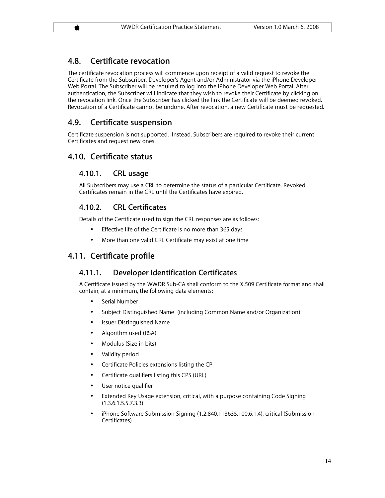# **4.8. Certificate revocation**

The certificate revocation process will commence upon receipt of a valid request to revoke the Certificate from the Subscriber, Developer's Agent and/or Administrator via the iPhone Developer Web Portal. The Subscriber will be required to log into the iPhone Developer Web Portal. After authentication, the Subscriber will indicate that they wish to revoke their Certificate by clicking on the revocation link. Once the Subscriber has clicked the link the Certificate will be deemed revoked. Revocation of a Certificate cannot be undone. After revocation, a new Certificate must be requested.

# **4.9. Certificate suspension**

Certificate suspension is not supported. Instead, Subscribers are required to revoke their current Certificates and request new ones.

# **4.10. Certificate status**

#### **4.10.1. CRL usage**

All Subscribers may use a CRL to determine the status of a particular Certificate. Revoked Certificates remain in the CRL until the Certificates have expired.

#### **4.10.2. CRL Certificates**

Details of the Certificate used to sign the CRL responses are as follows:

- Effective life of the Certificate is no more than 365 days
- More than one valid CRL Certificate may exist at one time

# **4.11. Certificate profile**

#### **4.11.1. Developer Identification Certificates**

A Certificate issued by the WWDR Sub-CA shall conform to the X.509 Certificate format and shall contain, at a minimum, the following data elements:

- Serial Number
- Subject Distinguished Name (including Common Name and/or Organization)
- Issuer Distinguished Name
- Algorithm used (RSA)
- Modulus (Size in bits)
- Validity period
- Certificate Policies extensions listing the CP
- Certificate qualifiers listing this CPS (URL)
- User notice qualifier
- Extended Key Usage extension, critical, with a purpose containing Code Signing (1.3.6.1.5.5.7.3.3)
- iPhone Software Submission Signing (1.2.840.113635.100.6.1.4), critical (Submission Certificates)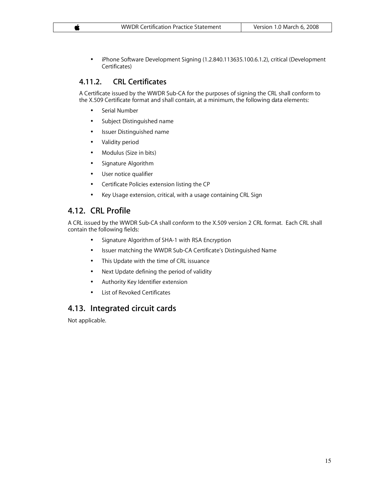• iPhone Software Development Signing (1.2.840.113635.100.6.1.2), critical (Development Certificates)

### **4.11.2. CRL Certificates**

A Certificate issued by the WWDR Sub-CA for the purposes of signing the CRL shall conform to the X.509 Certificate format and shall contain, at a minimum, the following data elements:

- Serial Number
- Subject Distinguished name
- Issuer Distinguished name
- Validity period
- Modulus (Size in bits)
- Signature Algorithm
- User notice qualifier
- Certificate Policies extension listing the CP
- Key Usage extension, critical, with a usage containing CRL Sign

# **4.12. CRL Profile**

A CRL issued by the WWDR Sub-CA shall conform to the X.509 version 2 CRL format. Each CRL shall contain the following fields:

- Signature Algorithm of SHA-1 with RSA Encryption
- Issuer matching the WWDR Sub-CA Certificate's Distinguished Name
- This Update with the time of CRL issuance
- Next Update defining the period of validity
- Authority Key Identifier extension
- List of Revoked Certificates

# **4.13. Integrated circuit cards**

Not applicable.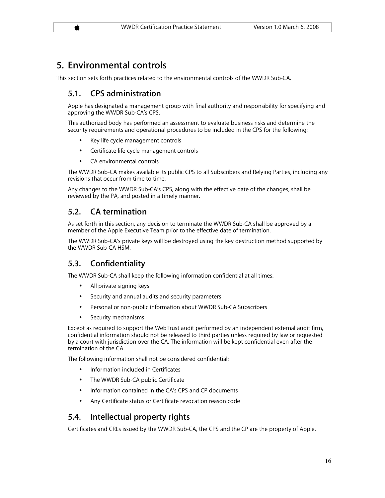# **5. Environmental controls**

This section sets forth practices related to the environmental controls of the WWDR Sub-CA.

# **5.1. CPS administration**

Apple has designated a management group with final authority and responsibility for specifying and approving the WWDR Sub-CA's CPS.

This authorized body has performed an assessment to evaluate business risks and determine the security requirements and operational procedures to be included in the CPS for the following:

- Key life cycle management controls
- Certificate life cycle management controls
- CA environmental controls

The WWDR Sub-CA makes available its public CPS to all Subscribers and Relying Parties, including any revisions that occur from time to time.

Any changes to the WWDR Sub-CA's CPS, along with the effective date of the changes, shall be reviewed by the PA, and posted in a timely manner.

# **5.2. CA termination**

As set forth in this section, any decision to terminate the WWDR Sub-CA shall be approved by a member of the Apple Executive Team prior to the effective date of termination.

The WWDR Sub-CA's private keys will be destroyed using the key destruction method supported by the WWDR Sub-CA HSM.

# **5.3. Confidentiality**

The WWDR Sub-CA shall keep the following information confidential at all times:

- All private signing keys
- Security and annual audits and security parameters
- Personal or non-public information about WWDR Sub-CA Subscribers
- Security mechanisms

Except as required to support the WebTrust audit performed by an independent external audit firm, confidential information should not be released to third parties unless required by law or requested by a court with jurisdiction over the CA. The information will be kept confidential even after the termination of the CA.

The following information shall not be considered confidential:

- Information included in Certificates
- The WWDR Sub-CA public Certificate
- Information contained in the CA's CPS and CP documents
- Any Certificate status or Certificate revocation reason code

### **5.4. Intellectual property rights**

Certificates and CRLs issued by the WWDR Sub-CA, the CPS and the CP are the property of Apple.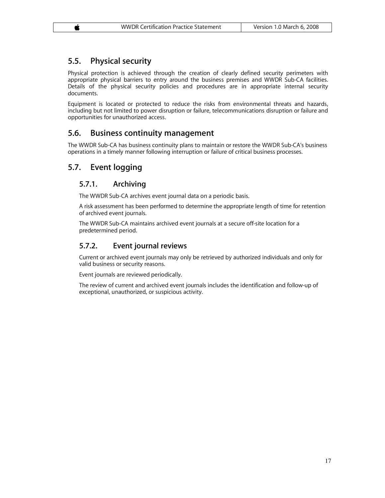# **5.5. Physical security**

Physical protection is achieved through the creation of clearly defined security perimeters with appropriate physical barriers to entry around the business premises and WWDR Sub-CA facilities. Details of the physical security policies and procedures are in appropriate internal security documents.

Equipment is located or protected to reduce the risks from environmental threats and hazards, including but not limited to power disruption or failure, telecommunications disruption or failure and opportunities for unauthorized access.

# **5.6. Business continuity management**

The WWDR Sub-CA has business continuity plans to maintain or restore the WWDR Sub-CA's business operations in a timely manner following interruption or failure of critical business processes.

# **5.7. Event logging**

### **5.7.1. Archiving**

The WWDR Sub-CA archives event journal data on a periodic basis.

A risk assessment has been performed to determine the appropriate length of time for retention of archived event journals.

The WWDR Sub-CA maintains archived event journals at a secure off-site location for a predetermined period.

# **5.7.2. Event journal reviews**

Current or archived event journals may only be retrieved by authorized individuals and only for valid business or security reasons.

Event journals are reviewed periodically.

The review of current and archived event journals includes the identification and follow-up of exceptional, unauthorized, or suspicious activity.